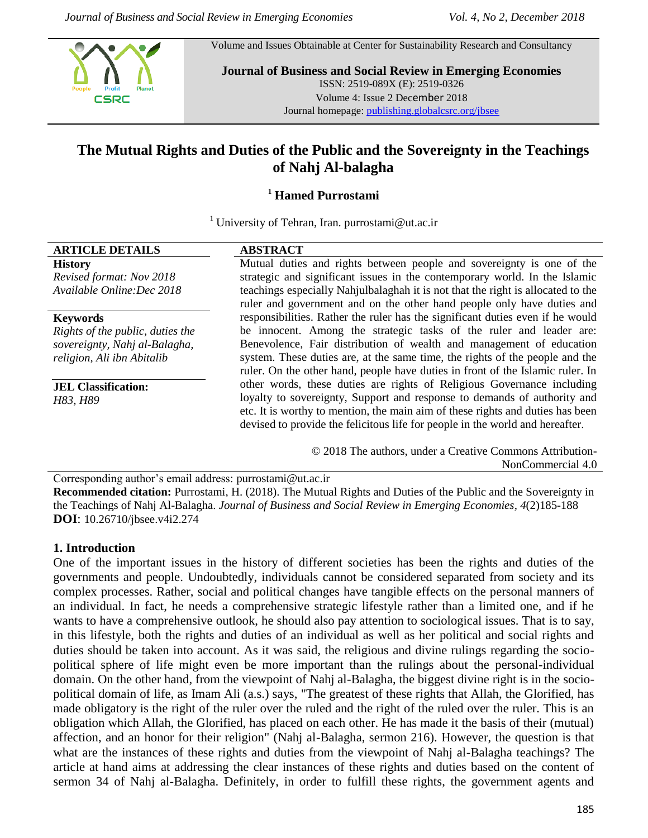

Volume and Issues Obtainable at Center for Sustainability Research and Consultancy

**Journal of Business and Social Review in Emerging Economies** ISSN: 2519-089X (E): 2519-0326 Volume 4: Issue 2 December 2018 Journal homepage: [publishing.globalcsrc.org/jbsee](http://www.publishing.globalcsrc.org/jbsee)

# **The Mutual Rights and Duties of the Public and the Sovereignty in the Teachings of Nahj Al-balagha**

## **<sup>1</sup> Hamed Purrostami**

<sup>1</sup> University of Tehran, Iran. purrostami@ut.ac.ir

### **ARTICLE DETAILS ABSTRACT**

**History** *Revised format: Nov 2018 Available Online:Dec 2018*

**Keywords**

*Rights of the public, duties the sovereignty, Nahj al-Balagha, religion, Ali ibn Abitalib*

**JEL Classification:**  *H83, H89*

Mutual duties and rights between people and sovereignty is one of the strategic and significant issues in the contemporary world. In the Islamic teachings especially Nahjulbalaghah it is not that the right is allocated to the ruler and government and on the other hand people only have duties and responsibilities. Rather the ruler has the significant duties even if he would be innocent. Among the strategic tasks of the ruler and leader are: Benevolence, Fair distribution of wealth and management of education system. These duties are, at the same time, the rights of the people and the ruler. On the other hand, people have duties in front of the Islamic ruler. In other words, these duties are rights of Religious Governance including loyalty to sovereignty, Support and response to demands of authority and etc. It is worthy to mention, the main aim of these rights and duties has been devised to provide the felicitous life for people in the world and hereafter.

> © 2018 The authors, under a Creative Commons Attribution-NonCommercial 4.0

Corresponding author's email address: purrostami@ut.ac.ir **Recommended citation:** Purrostami, H. (2018). The Mutual Rights and Duties of the Public and the Sovereignty in the Teachings of Nahj Al-Balagha. *Journal of Business and Social Review in Emerging Economies, 4*(2)185-188 **DOI**: 10.26710/jbsee.v4i2.274

### **1. Introduction**

One of the important issues in the history of different societies has been the rights and duties of the governments and people. Undoubtedly, individuals cannot be considered separated from society and its complex processes. Rather, social and political changes have tangible effects on the personal manners of an individual. In fact, he needs a comprehensive strategic lifestyle rather than a limited one, and if he wants to have a comprehensive outlook, he should also pay attention to sociological issues. That is to say, in this lifestyle, both the rights and duties of an individual as well as her political and social rights and duties should be taken into account. As it was said, the religious and divine rulings regarding the sociopolitical sphere of life might even be more important than the rulings about the personal-individual domain. On the other hand, from the viewpoint of Nahj al-Balagha, the biggest divine right is in the sociopolitical domain of life, as Imam Ali (a.s.) says, "The greatest of these rights that Allah, the Glorified, has made obligatory is the right of the ruler over the ruled and the right of the ruled over the ruler. This is an obligation which Allah, the Glorified, has placed on each other. He has made it the basis of their (mutual) affection, and an honor for their religion" (Nahj al-Balagha, sermon 216). However, the question is that what are the instances of these rights and duties from the viewpoint of Nahj al-Balagha teachings? The article at hand aims at addressing the clear instances of these rights and duties based on the content of sermon 34 of Nahj al-Balagha. Definitely, in order to fulfill these rights, the government agents and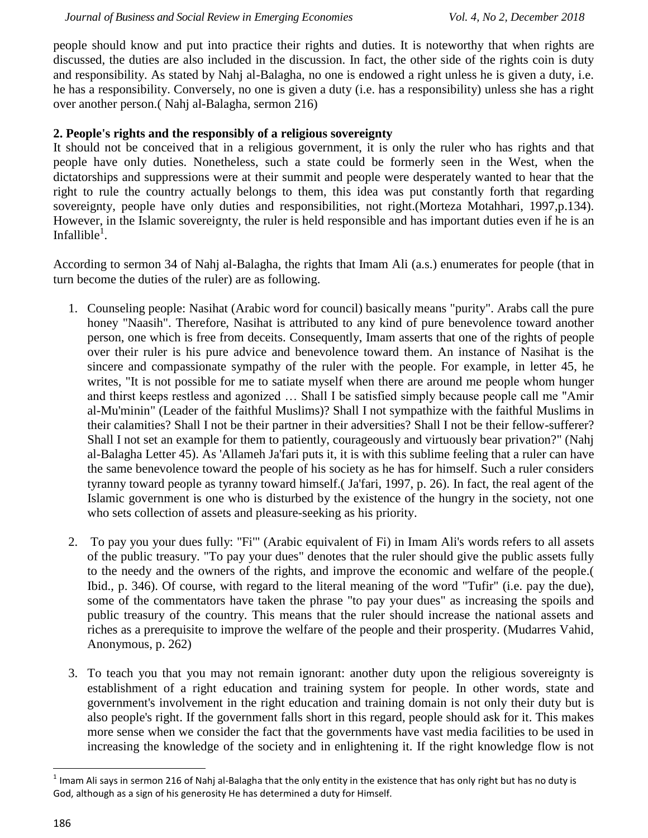people should know and put into practice their rights and duties. It is noteworthy that when rights are discussed, the duties are also included in the discussion. In fact, the other side of the rights coin is duty and responsibility. As stated by Nahj al-Balagha, no one is endowed a right unless he is given a duty, i.e. he has a responsibility. Conversely, no one is given a duty (i.e. has a responsibility) unless she has a right over another person.( Nahj al-Balagha, sermon 216)

### **2. People's rights and the responsibly of a religious sovereignty**

It should not be conceived that in a religious government, it is only the ruler who has rights and that people have only duties. Nonetheless, such a state could be formerly seen in the West, when the dictatorships and suppressions were at their summit and people were desperately wanted to hear that the right to rule the country actually belongs to them, this idea was put constantly forth that regarding sovereignty, people have only duties and responsibilities, not right.(Morteza Motahhari, 1997,p.134). However, in the Islamic sovereignty, the ruler is held responsible and has important duties even if he is an Infallible $^{1}$ .

According to sermon 34 of Nahj al-Balagha, the rights that Imam Ali (a.s.) enumerates for people (that in turn become the duties of the ruler) are as following.

- 1. Counseling people: Nasihat (Arabic word for council) basically means "purity". Arabs call the pure honey "Naasih". Therefore, Nasihat is attributed to any kind of pure benevolence toward another person, one which is free from deceits. Consequently, Imam asserts that one of the rights of people over their ruler is his pure advice and benevolence toward them. An instance of Nasihat is the sincere and compassionate sympathy of the ruler with the people. For example, in letter 45, he writes, "It is not possible for me to satiate myself when there are around me people whom hunger and thirst keeps restless and agonized … Shall I be satisfied simply because people call me "Amir al-Mu'minin" (Leader of the faithful Muslims)? Shall I not sympathize with the faithful Muslims in their calamities? Shall I not be their partner in their adversities? Shall I not be their fellow-sufferer? Shall I not set an example for them to patiently, courageously and virtuously bear privation?" (Nahj al-Balagha Letter 45). As 'Allameh Ja'fari puts it, it is with this sublime feeling that a ruler can have the same benevolence toward the people of his society as he has for himself. Such a ruler considers tyranny toward people as tyranny toward himself.( Ja'fari, 1997, p. 26). In fact, the real agent of the Islamic government is one who is disturbed by the existence of the hungry in the society, not one who sets collection of assets and pleasure-seeking as his priority.
- 2. To pay you your dues fully: "Fi'" (Arabic equivalent of Fi) in Imam Ali's words refers to all assets of the public treasury. "To pay your dues" denotes that the ruler should give the public assets fully to the needy and the owners of the rights, and improve the economic and welfare of the people.( Ibid., p. 346). Of course, with regard to the literal meaning of the word "Tufir" (i.e. pay the due), some of the commentators have taken the phrase "to pay your dues" as increasing the spoils and public treasury of the country. This means that the ruler should increase the national assets and riches as a prerequisite to improve the welfare of the people and their prosperity. (Mudarres Vahid, Anonymous, p. 262)
- 3. To teach you that you may not remain ignorant: another duty upon the religious sovereignty is establishment of a right education and training system for people. In other words, state and government's involvement in the right education and training domain is not only their duty but is also people's right. If the government falls short in this regard, people should ask for it. This makes more sense when we consider the fact that the governments have vast media facilities to be used in increasing the knowledge of the society and in enlightening it. If the right knowledge flow is not

 $\overline{a}$ 

 $^1$  Imam Ali says in sermon 216 of Nahj al-Balagha that the only entity in the existence that has only right but has no duty is God, although as a sign of his generosity He has determined a duty for Himself.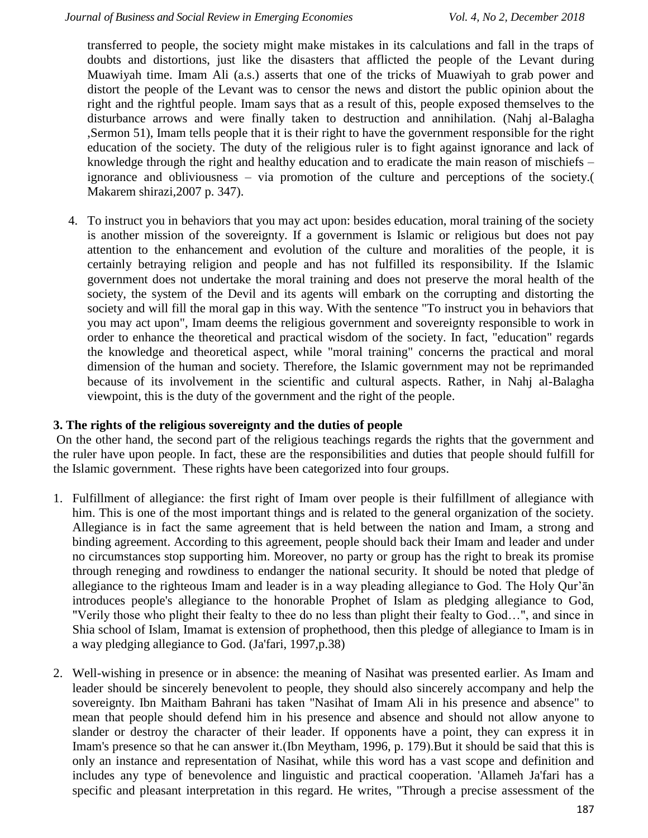transferred to people, the society might make mistakes in its calculations and fall in the traps of doubts and distortions, just like the disasters that afflicted the people of the Levant during Muawiyah time. Imam Ali (a.s.) asserts that one of the tricks of Muawiyah to grab power and distort the people of the Levant was to censor the news and distort the public opinion about the right and the rightful people. Imam says that as a result of this, people exposed themselves to the disturbance arrows and were finally taken to destruction and annihilation. (Nahj al-Balagha ,Sermon 51), Imam tells people that it is their right to have the government responsible for the right education of the society. The duty of the religious ruler is to fight against ignorance and lack of knowledge through the right and healthy education and to eradicate the main reason of mischiefs – ignorance and obliviousness – via promotion of the culture and perceptions of the society.( Makarem shirazi,2007 p. 347).

4. To instruct you in behaviors that you may act upon: besides education, moral training of the society is another mission of the sovereignty. If a government is Islamic or religious but does not pay attention to the enhancement and evolution of the culture and moralities of the people, it is certainly betraying religion and people and has not fulfilled its responsibility. If the Islamic government does not undertake the moral training and does not preserve the moral health of the society, the system of the Devil and its agents will embark on the corrupting and distorting the society and will fill the moral gap in this way. With the sentence "To instruct you in behaviors that you may act upon", Imam deems the religious government and sovereignty responsible to work in order to enhance the theoretical and practical wisdom of the society. In fact, "education" regards the knowledge and theoretical aspect, while "moral training" concerns the practical and moral dimension of the human and society. Therefore, the Islamic government may not be reprimanded because of its involvement in the scientific and cultural aspects. Rather, in Nahj al-Balagha viewpoint, this is the duty of the government and the right of the people.

### **3. The rights of the religious sovereignty and the duties of people**

On the other hand, the second part of the religious teachings regards the rights that the government and the ruler have upon people. In fact, these are the responsibilities and duties that people should fulfill for the Islamic government. These rights have been categorized into four groups.

- 1. Fulfillment of allegiance: the first right of Imam over people is their fulfillment of allegiance with him. This is one of the most important things and is related to the general organization of the society. Allegiance is in fact the same agreement that is held between the nation and Imam, a strong and binding agreement. According to this agreement, people should back their Imam and leader and under no circumstances stop supporting him. Moreover, no party or group has the right to break its promise through reneging and rowdiness to endanger the national security. It should be noted that pledge of allegiance to the righteous Imam and leader is in a way pleading allegiance to God. The Holy Qur'ān introduces people's allegiance to the honorable Prophet of Islam as pledging allegiance to God, "Verily those who plight their fealty to thee do no less than plight their fealty to God…", and since in Shia school of Islam, Imamat is extension of prophethood, then this pledge of allegiance to Imam is in a way pledging allegiance to God. (Ja'fari, 1997,p.38)
- 2. Well-wishing in presence or in absence: the meaning of Nasihat was presented earlier. As Imam and leader should be sincerely benevolent to people, they should also sincerely accompany and help the sovereignty. Ibn Maitham Bahrani has taken "Nasihat of Imam Ali in his presence and absence" to mean that people should defend him in his presence and absence and should not allow anyone to slander or destroy the character of their leader. If opponents have a point, they can express it in Imam's presence so that he can answer it.(Ibn Meytham, 1996, p. 179). But it should be said that this is only an instance and representation of Nasihat, while this word has a vast scope and definition and includes any type of benevolence and linguistic and practical cooperation. 'Allameh Ja'fari has a specific and pleasant interpretation in this regard. He writes, "Through a precise assessment of the